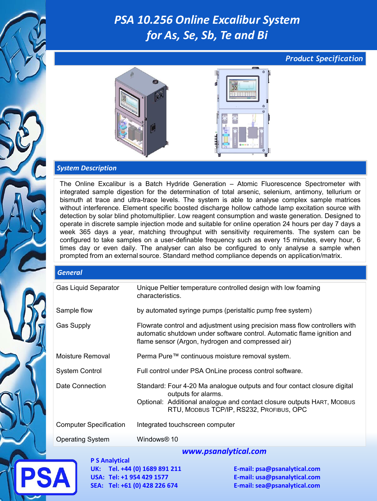# *PSA 10.256 Online Excalibur System for As, Se, Sb, Te and Bi*

### *Product Specification*



#### *System Description*

The Online Excalibur is a Batch Hydride Generation – Atomic Fluorescence Spectrometer with integrated sample digestion for the determination of total arsenic, selenium, antimony, tellurium or bismuth at trace and ultra-trace levels. The system is able to analyse complex sample matrices without interference. Element specific boosted discharge hollow cathode lamp excitation source with detection by solar blind photomultiplier. Low reagent consumption and waste generation. Designed to operate in discrete sample injection mode and suitable for online operation 24 hours per day 7 days a week 365 days a year, matching throughput with sensitivity requirements. The system can be configured to take samples on a user-definable frequency such as every 15 minutes, every hour, 6 times day or even daily. The analyser can also be configured to only analyse a sample when prompted from an external source. Standard method compliance depends on application/matrix.

| <b>General</b>                |                                                                                                                                                                                                                       |
|-------------------------------|-----------------------------------------------------------------------------------------------------------------------------------------------------------------------------------------------------------------------|
| <b>Gas Liquid Separator</b>   | Unique Peltier temperature controlled design with low foaming<br>characteristics.                                                                                                                                     |
| Sample flow                   | by automated syringe pumps (peristaltic pump free system)                                                                                                                                                             |
| <b>Gas Supply</b>             | Flowrate control and adjustment using precision mass flow controllers with<br>automatic shutdown under software control. Automatic flame ignition and<br>flame sensor (Argon, hydrogen and compressed air)            |
| Moisture Removal              | Perma Pure™ continuous moisture removal system.                                                                                                                                                                       |
| <b>System Control</b>         | Full control under PSA OnLine process control software.                                                                                                                                                               |
| Date Connection               | Standard: Four 4-20 Ma analogue outputs and four contact closure digital<br>outputs for alarms.<br>Optional: Additional analogue and contact closure outputs HART, MODBUS<br>RTU, MODBUS TCP/IP, RS232, PROFIBUS, OPC |
| <b>Computer Specification</b> | Integrated touchscreen computer                                                                                                                                                                                       |
| <b>Operating System</b>       | Windows <sup>®</sup> 10                                                                                                                                                                                               |
|                               | .                                                                                                                                                                                                                     |

**P S Analytical UK: Tel. +44 (0) 1689 891 211 E-mail: psa@psanalytical.com USA: Tel: +1 954 429 1577 E-mail: usa@psanalytical.com SEA: Tel: +61 (0) 428 226 674 E-mail: sea@psanalytical.com**

#### *www.psanalytical.com*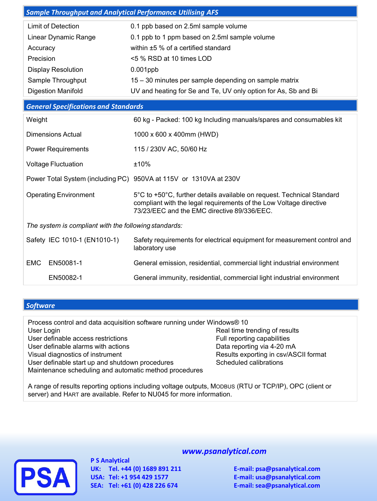| <b>Sample Throughput and Analytical Performance Utilising AFS</b> |                                                                                                                                                                                             |  |  |  |
|-------------------------------------------------------------------|---------------------------------------------------------------------------------------------------------------------------------------------------------------------------------------------|--|--|--|
| <b>Limit of Detection</b>                                         | 0.1 ppb based on 2.5ml sample volume                                                                                                                                                        |  |  |  |
| Linear Dynamic Range                                              | 0.1 ppb to 1 ppm based on 2.5ml sample volume                                                                                                                                               |  |  |  |
| Accuracy                                                          | within ±5 % of a certified standard                                                                                                                                                         |  |  |  |
| Precision                                                         | <5 % RSD at 10 times LOD                                                                                                                                                                    |  |  |  |
| <b>Display Resolution</b>                                         | $0.001$ ppb                                                                                                                                                                                 |  |  |  |
| Sample Throughput                                                 | 15 – 30 minutes per sample depending on sample matrix                                                                                                                                       |  |  |  |
| <b>Digestion Manifold</b>                                         | UV and heating for Se and Te, UV only option for As, Sb and Bi                                                                                                                              |  |  |  |
| <b>General Specifications and Standards</b>                       |                                                                                                                                                                                             |  |  |  |
| Weight                                                            | 60 kg - Packed: 100 kg Including manuals/spares and consumables kit                                                                                                                         |  |  |  |
| <b>Dimensions Actual</b>                                          | 1000 x 600 x 400mm (HWD)                                                                                                                                                                    |  |  |  |
| <b>Power Requirements</b>                                         | 115 / 230V AC, 50/60 Hz                                                                                                                                                                     |  |  |  |
| <b>Voltage Fluctuation</b>                                        | ±10%                                                                                                                                                                                        |  |  |  |
|                                                                   | Power Total System (including PC) 950VA at 115V or 1310VA at 230V                                                                                                                           |  |  |  |
| <b>Operating Environment</b>                                      | 5°C to +50°C, further details available on request. Technical Standard<br>compliant with the legal requirements of the Low Voltage directive<br>73/23/EEC and the EMC directive 89/336/EEC. |  |  |  |
| The system is compliant with the following standards:             |                                                                                                                                                                                             |  |  |  |
| Safety IEC 1010-1 (EN1010-1)                                      | Safety requirements for electrical equipment for measurement control and<br>laboratory use                                                                                                  |  |  |  |
| EN50081-1<br><b>EMC</b>                                           | General emission, residential, commercial light industrial environment                                                                                                                      |  |  |  |
| EN50082-1                                                         | General immunity, residential, commercial light industrial environment                                                                                                                      |  |  |  |

### *Software*

| Process control and data acquisition software running under Windows® 10 |                                       |
|-------------------------------------------------------------------------|---------------------------------------|
| User Login                                                              | Real time trending of results         |
| User definable access restrictions                                      | Full reporting capabilities           |
| User definable alarms with actions                                      | Data reporting via 4-20 mA            |
| Visual diagnostics of instrument                                        | Results exporting in csv/ASCII format |
| User definable start up and shutdown procedures                         | Scheduled calibrations                |
| Maintenance scheduling and automatic method procedures                  |                                       |
|                                                                         |                                       |

A range of results reporting options including voltage outputs, MODBUS (RTU or TCP/IP), OPC (client or server) and HART are available. Refer to NU045 for more information.



**P S Analytical UK: Tel. +44 (0) 1689 891 211 E-mail: psa@psanalytical.com USA: Tel: +1 954 429 1577 E-mail: usa@psanalytical.com**

## *www.psanalytical.com*

**SEA: Tel: +61 (0) 428 226 674 E-mail: sea@psanalytical.com**